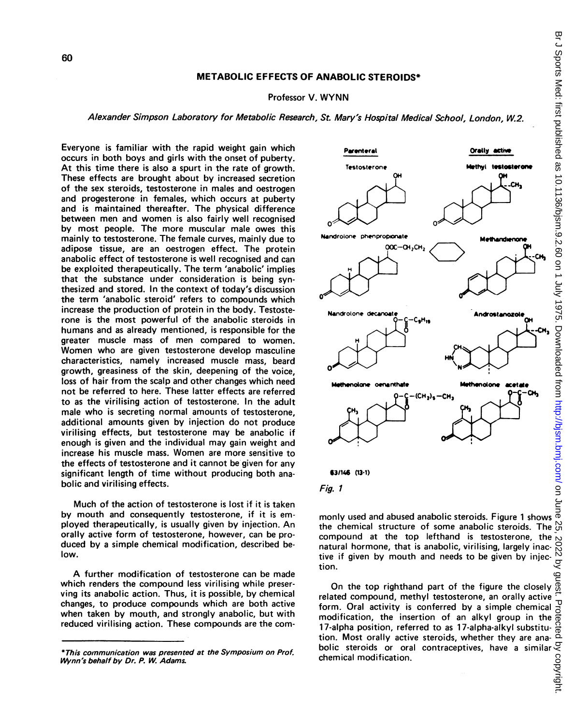## METABOLIC EFFECTS OF ANABOLIC STEROIDS\*

## Professor V. WYNN

## Alexander Simpson Laboratory for Metabolic Research, St. Mary's Hospital Medical School, London, W.2.

Everyone is familiar with the rapid weight gain which occurs in both boys and girls with the onset of puberty. At this time there is also a spurt in the rate of growth. These effects are brought about by increased secretion of the sex steroids, testosterone in males and oestrogen and progesterone in females, which occurs at puberty and is maintained thereafter. The physical difference between men and women is also fairly well recognised by most people. The more muscular male owes this mainly to testosterone. The female curves, mainly due to adipose tissue, are an oestrogen effect. The protein anabolic effect of testosterone is well recognised and can be exploited therapeutically. The term 'anabolic' implies that the substance under consideration is being synthesized and stored. In the context of today's discussion the term 'anabolic steroid' refers to compounds which increase the production of protein in the body. Testosterone is the most powerful of the anabolic steroids in humans and as already mentioned, is responsible for the greater muscle mass of men compared to women. Women who are given testosterone develop masculine characteristics, namely increased muscle mass, beard growth, greasiness of the skin, deepening of the voice, loss of hair from the scalp and other changes which need not be referred to here. These latter effects are referred to as the virilising action of testosterone. In the adult male who is secreting normal amounts of testosterone, additional amounts given by injection do not produce virilising effects, but testosterone may be anabolic if enough is given and the individual may gain weight and increase his muscle mass. Women are more sensitive to the effects of testosterone and it cannot be given for any significant length of time without producing both anabolic and virilising effects.

Much of the action of testosterone is lost if it is taken by mouth and consequently testosterone, if it is employed therapeutically, is usually given by injection. An orally active form of testosterone, however, can be produced by a simple chemical modification, described below.

A further modification of testosterone can be made which renders the compound less virilising while preserving its anabolic action. Thus, it is possible, by chemical changes, to produce compounds which are both active when taken by mouth, and strongly anabolic, but with reduced virilising action. These compounds are the com-



Fig. 1

monly used and abused anabolic steroids. Figure <sup>1</sup> shows the chemical structure of some anabolic steroids. The compound at the top lefthand is testosterone, the natural hormone, that is anabolic, virilising, largely inactive if given by mouth and needs to be given by injection.

On the top righthand part of the figure the closely  $\frac{1}{\omega}$ related compound, methyl testosterone, an orally active  $\frac{1}{10}$ <br>form. Oral activity is conferred by a simple chemical  $\frac{1}{10}$ <br>modification, the insertion of an alkyl group in the  $\frac{1}{10}$ <br>17-alpha position referre form. Oral activity is conferred by a simple chemical modification, the insertion of an alkyl group in the 17-alpha position, referred to as 17-alpha-alkyl substitution. Most orally active steroids, whether they are anabolic steroids or oral contraceptives, have a similar  $\frac{3}{5}$  chemical modification. chemical modification.

<sup>\*</sup>This communication was presented at the Symposium on Prof. Wynn's behalf by Dr. P. W. Adams.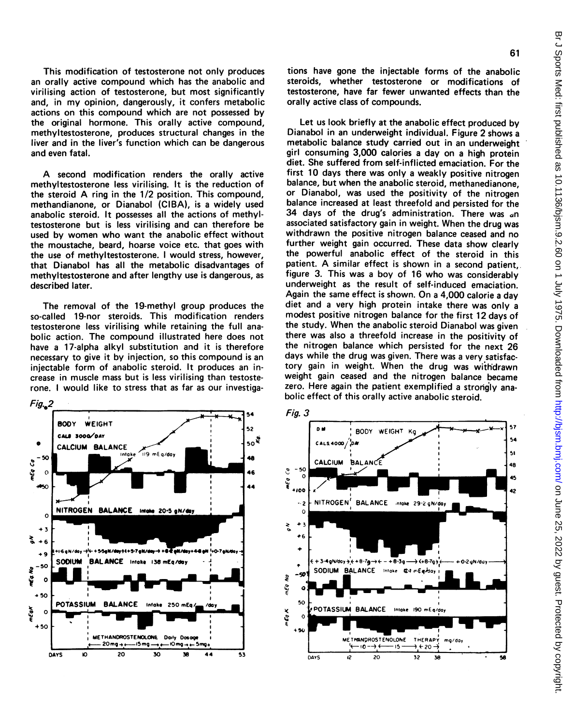61

This modification of testosterone not only produces an orally active compound which has the anabolic and virilising action of testosterone, but most significantly and, in my opinion, dangerously, it confers metabolic actions on this compound which are not possessed by the original hormone. This orally active compound, methyltestosterone, produces structural changes in the liver and in the liver's function which can be dangerous and even fatal.

A second modification renders the orally active methyltestosterone less virilising. It is the reduction of the steroid A ring in the 1/2 position. This compound, methandianone, or Dianabol (CIBA), is a widely used anabolic steroid. It possesses all the actions of methyltestosterone but is less virilising and can therefore be used by women who want the anabolic effect without the moustache, beard, hoarse voice etc. that goes with the use of methyltestosterone. <sup>I</sup> would stress, however, that Dianabol has all the metabolic disadvantages of methyltestosterone and after lengthy use is dangerous, as described later.

The removal of the 19-methyl group produces the so-called 19-nor steroids. This modification renders testosterone less virilising while retaining the full anabolic action. The compound illustrated here does not have a 17-alpha alkyl substitution and it is therefore necessary to give it by injection, so this compound is an injectable form of anabolic steroid. It produces an increase in muscle mass but is less virilising than testosterone. <sup>I</sup> would like to stress that as far as our investiga-



Let us look briefly at the anabolic effect produced by Dianabol in an underweight individual. Figure 2 shows a metabolic balance study carried out in an underweight girl consuming 3,000 calories a day on a high protein diet. She suffered from self-inflicted emaciation. For the first 10 days there was only a weakly positive nitrogen balance, but when the anabolic steroid, methanedianone, or Dianabol, was used the positivity of the nitrogen balance increased at least threefold and persisted for the 34 days of the drug's administration. There was an associated satisfactory gain in weight. When the drug was withdrawn the positive nitrogen balance ceased and no further weight gain occurred. These data show clearly the powerful anabolic effect of the steroid in this patient. A similar effect is shown in <sup>a</sup> second patient,. figure 3. This was <sup>a</sup> boy of 16 who was considerably underweight as the result of self-induced emaciation. Again the same effect is shown. On <sup>a</sup> 4,000 calorie <sup>a</sup> day diet and <sup>a</sup> very high protein intake there was only a modest positive nitrogen balance for the first 12 days of the study. When the anabolic steroid Dianabol was given there was also <sup>a</sup> threefold increase in the positivity of the nitrogen balance which persisted for the next 26 days while the drug was given. There was a very satisfactory gain in weight. When the drug was withdrawn weight gain ceased and the nitrogen balance became zero. Here again the patient exemplified a strongly anabolic effect of this orally active anabolic steroid.





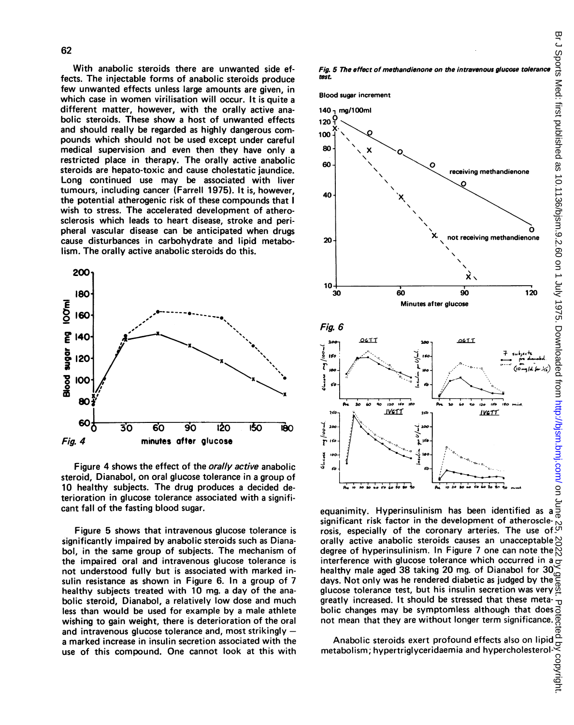With anabolic steroids there are unwanted side effects. The injectable forms of anabolic steroids produce few unwanted effects unless large amounts are given, in which case in women virilisation will occur. It is quite a different matter, however, with the orally active anabolic steroids. These show a host of unwanted effects and should really be regarded as highly dangerous compounds which should not be used except under careful medical supervision and even then they have only <sup>a</sup> restricted place in therapy. The orally active anabolic steroids are hepato-toxic and cause cholestatic jaundice. Long continued use may be associated with liver tumours, including cancer (Farrell 1975). It is, however, the potential atherogenic risk of these compounds that <sup>I</sup> wish to stress. The accelerated development of atherosclerosis which leads to heart disease, stroke and peripheral vascular disease can be anticipated when drugs cause disturbances in carbohydrate and lipid metabolism. The orally active anabolic steroids do this.



Figure 4 shows the effect of the *orally active* anabolic steroid, Dianabol, on oral glucose tolerance in a group of <sup>10</sup> healthy subjects. The drug produces <sup>a</sup> decided deterioration in glucose tolerance associated with a significant fall of the fasting blood sugar.

Figure 5 shows that intravenous glucose tolerance is significantly impaired by anabolic steroids such as Dianabol, in the same group of subjects. The mechanism of the impaired oral and intravenous glucose tolerance is not understood fully but is associated with marked insulin resistance as shown in Figure 6. In <sup>a</sup> group of 7 healthy subjects treated with 10 mg. a day of the anabolic steroid, Dianabol, <sup>a</sup> relatively low dose and much less than would be used for example by a male athlete wishing to gain weight, there is deterioration of the oral and intravenous glucose tolerance and, most strikingly  $$ a marked increase in insulin secretion associated with the use of this compound. One cannot look at this with

Fig. 5 The effect of methandienone on the intravenous glucose tolerance test.

Blood sugar increment



equanimity. Hyperinsulinism has been identified as a significant risk factor in the development of atherosclerosis, especially of the coronary arteries. The use of orally active anabolic steroids causes an unacceptable degree of hyperinsulinism. In Figure 7 one can note the  $\bar{N}$ interference with glucose tolerance which occurred in a  $\sigma$ healthy male aged 38 taking 20 mg. of Dianabol for 30 days. Not only was he rendered diabetic as judged by the glucose tolerance test, but his insulin secretion was very  $\frac{6}{9}$ greatly increased. It should be stressed that these meta-᠊ᠣ bolic changes may be symptomless although that does  $\overline{S}$  not mean that they are without longer term significance.  $\overline{S}$ not mean that they are without longer term significance.

Anabolic steroids exert profound effects also on lipid metabolism; hypertriglyceridaemia and hypercholesterol-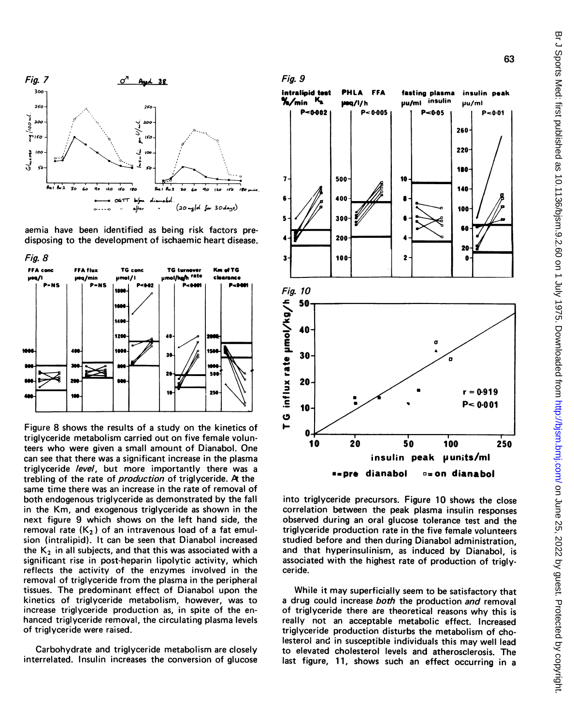

aemia have been identified as being risk factors predisposing to the development of ischaemic heart disease.



Figure 8 shows the results of a study on the kinetics of triglyceride metabolism carried out on five female volunteers who were given a small amount of Dianabol. One can see that there was a significant increase in the plasma triglyceride level, but more importantly there was a trebling of the rate of *production* of triglyceride. At the same time there was an increase in the rate of removal of both endogenous triglyceride as demonstrated by the fall in the Km, and exogenous triglyceride as shown in the next figure 9 which shows on the left hand side, the removal rate  $(K_2)$  of an intravenous load of a fat emulsion (intralipid). It can be seen that Dianabol increased the  $K_2$  in all subjects, and that this was associated with a significant rise in post-heparin lipolytic activity, which reflects the activity of the enzymes involved in the removal of triglyceride from the plasma in the peripheral tissues. The predominant effect of Dianabol upon the kinetics of triglyceride metabolism, however, was to increase triglyceride production as, in spite of the enhanced triglyceride removal, the circulating plasma levels of triglyceride were raised.

Carbohydrate and triglyceride metabolism are closely interrelated. Insulin increases the conversion of glucose





into triglyceride precursors. Figure 10 shows the close correlation between the peak plasma insulin responses observed during an oral glucose tolerance test and the triglyceride production rate in the five female volunteers studied before and then during Dianabol administration. and that hyperinsulinism, as induced by Dianabol, is associated with the highest rate of production of triglyceride.

While it may superficially seem to be satisfactory that a drug could increase both the production and removal of triglyceride there are theoretical reasons why this is really not an acceptable metabolic effect. Increased triglyceride production disturbs the metabolism of cholesterol and in susceptible individuals this may well lead to elevated cholesterol levels and atherosclerosis. The last figure, 11, shows such an effect occurring in a